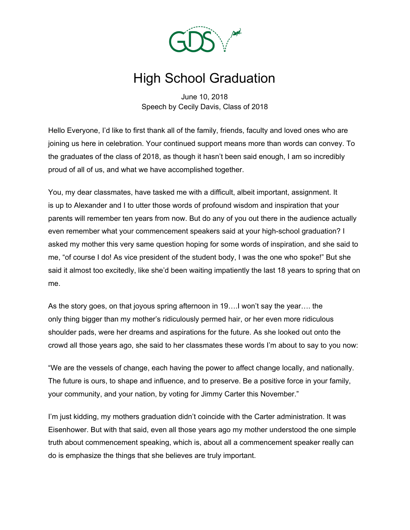

## High School Graduation

June 10, 2018 Speech by Cecily Davis, Class of 2018

Hello Everyone, I'd like to first thank all of the family, friends, faculty and loved ones who are joining us here in celebration. Your continued support means more than words can convey. To the graduates of the class of 2018, as though it hasn't been said enough, I am so incredibly proud of all of us, and what we have accomplished together.

You, my dear classmates, have tasked me with a difficult, albeit important, assignment. It is up to Alexander and I to utter those words of profound wisdom and inspiration that your parents will remember ten years from now. But do any of you out there in the audience actually even remember what your commencement speakers said at your high-school graduation? I asked my mother this very same question hoping for some words of inspiration, and she said to me, "of course I do! As vice president of the student body, I was the one who spoke!" But she said it almost too excitedly, like she'd been waiting impatiently the last 18 years to spring that on me.

As the story goes, on that joyous spring afternoon in 19….I won't say the year…. the only thing bigger than my mother's ridiculously permed hair, or her even more ridiculous shoulder pads, were her dreams and aspirations for the future. As she looked out onto the crowd all those years ago, she said to her classmates these words I'm about to say to you now:

"We are the vessels of change, each having the power to affect change locally, and nationally. The future is ours, to shape and influence, and to preserve. Be a positive force in your family, your community, and your nation, by voting for Jimmy Carter this November."

I'm just kidding, my mothers graduation didn't coincide with the Carter administration. It was Eisenhower. But with that said, even all those years ago my mother understood the one simple truth about commencement speaking, which is, about all a commencement speaker really can do is emphasize the things that she believes are truly important.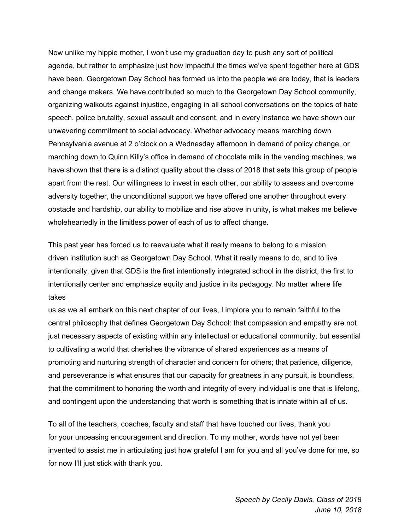Now unlike my hippie mother, I won't use my graduation day to push any sort of political agenda, but rather to emphasize just how impactful the times we've spent together here at GDS have been. Georgetown Day School has formed us into the people we are today, that is leaders and change makers. We have contributed so much to the Georgetown Day School community, organizing walkouts against injustice, engaging in all school conversations on the topics of hate speech, police brutality, sexual assault and consent, and in every instance we have shown our unwavering commitment to social advocacy. Whether advocacy means marching down Pennsylvania avenue at 2 o'clock on a Wednesday afternoon in demand of policy change, or marching down to Quinn Killy's office in demand of chocolate milk in the vending machines, we have shown that there is a distinct quality about the class of 2018 that sets this group of people apart from the rest. Our willingness to invest in each other, our ability to assess and overcome adversity together, the unconditional support we have offered one another throughout every obstacle and hardship, our ability to mobilize and rise above in unity, is what makes me believe wholeheartedly in the limitless power of each of us to affect change.

This past year has forced us to reevaluate what it really means to belong to a mission driven institution such as Georgetown Day School. What it really means to do, and to live intentionally, given that GDS is the first intentionally integrated school in the district, the first to intentionally center and emphasize equity and justice in its pedagogy. No matter where life takes

us as we all embark on this next chapter of our lives, I implore you to remain faithful to the central philosophy that defines Georgetown Day School: that compassion and empathy are not just necessary aspects of existing within any intellectual or educational community, but essential to cultivating a world that cherishes the vibrance of shared experiences as a means of promoting and nurturing strength of character and concern for others; that patience, diligence, and perseverance is what ensures that our capacity for greatness in any pursuit, is boundless, that the commitment to honoring the worth and integrity of every individual is one that is lifelong, and contingent upon the understanding that worth is something that is innate within all of us.

To all of the teachers, coaches, faculty and staff that have touched our lives, thank you for your unceasing encouragement and direction. To my mother, words have not yet been invented to assist me in articulating just how grateful I am for you and all you've done for me, so for now I'll just stick with thank you.